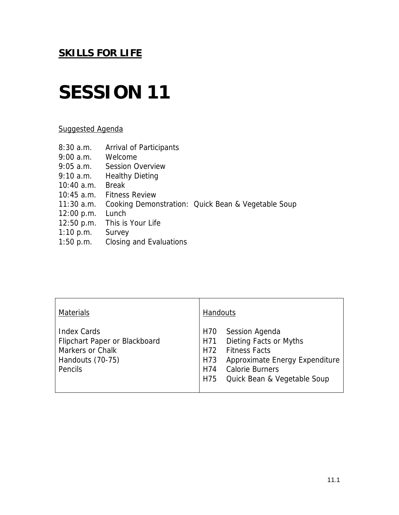# **SESSION 11**

## Suggested Agenda

| 8:30a.m.<br>9:00 a.m.<br>$9:05$ a.m. | <b>Arrival of Participants</b><br>Welcome<br><b>Session Overview</b> |                                                    |
|--------------------------------------|----------------------------------------------------------------------|----------------------------------------------------|
| 9:10 a.m.                            | <b>Healthy Dieting</b>                                               |                                                    |
| $10:40$ a.m.                         | <b>Break</b>                                                         |                                                    |
| $10:45$ a.m.                         | <b>Fitness Review</b>                                                |                                                    |
| $11:30$ a.m.                         |                                                                      | Cooking Demonstration: Quick Bean & Vegetable Soup |
| 12:00 p.m.                           | Lunch                                                                |                                                    |
| $12:50$ p.m.                         | This is Your Life                                                    |                                                    |
| $1:10$ p.m.                          | Survey                                                               |                                                    |
| $1:50$ p.m.                          | Closing and Evaluations                                              |                                                    |
|                                      |                                                                      |                                                    |

| <b>Materials</b>                                                                                              | <b>Handouts</b>                                                                                                                                                                                              |
|---------------------------------------------------------------------------------------------------------------|--------------------------------------------------------------------------------------------------------------------------------------------------------------------------------------------------------------|
| <b>Index Cards</b><br>Flipchart Paper or Blackboard<br><b>Markers or Chalk</b><br>Handouts (70-75)<br>Pencils | Session Agenda<br>H70<br><b>Dieting Facts or Myths</b><br>H71<br><b>Fitness Facts</b><br>H72<br>Approximate Energy Expenditure<br>H73<br><b>Calorie Burners</b><br>H74<br>Quick Bean & Vegetable Soup<br>H75 |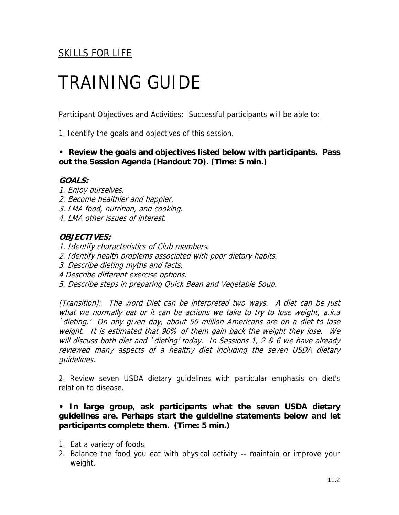# TRAINING GUIDE

Participant Objectives and Activities: Successful participants will be able to:

1. Identify the goals and objectives of this session.

**• Review the goals and objectives listed below with participants. Pass out the Session Agenda (Handout 70). (Time: 5 min.)** 

### **GOALS:**

- 1. Enjoy ourselves.
- 2. Become healthier and happier.
- 3. LMA food, nutrition, and cooking.
- 4. LMA other issues of interest.

### **OBJECTIVES:**

- 1. Identify characteristics of Club members.
- 2. Identify health problems associated with poor dietary habits.
- 3. Describe dieting myths and facts.
- 4 Describe different exercise options.
- 5. Describe steps in preparing Quick Bean and Vegetable Soup.

(Transition): The word Diet can be interpreted two ways. A diet can be just what we normally eat or it can be actions we take to try to lose weight, a.k.a `dieting.' On any given day, about 50 million Americans are on a diet to lose weight. It is estimated that 90% of them gain back the weight they lose. We will discuss both diet and `dieting' today. In Sessions 1, 2 & 6 we have already reviewed many aspects of a healthy diet including the seven USDA dietary guidelines.

2. Review seven USDA dietary guidelines with particular emphasis on diet's relation to disease.

### **• In large group, ask participants what the seven USDA dietary guidelines are. Perhaps start the guideline statements below and let participants complete them. (Time: 5 min.)**

- 1. Eat a variety of foods.
- 2. Balance the food you eat with physical activity -- maintain or improve your weight.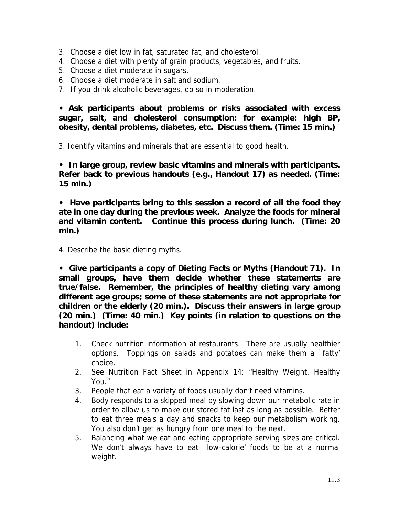- 3. Choose a diet low in fat, saturated fat, and cholesterol.
- 4. Choose a diet with plenty of grain products, vegetables, and fruits.
- 5. Choose a diet moderate in sugars.
- 6. Choose a diet moderate in salt and sodium.
- 7. If you drink alcoholic beverages, do so in moderation.

**• Ask participants about problems or risks associated with excess sugar, salt, and cholesterol consumption: for example: high BP, obesity, dental problems, diabetes, etc. Discuss them. (Time: 15 min.)** 

3. Identify vitamins and minerals that are essential to good health.

**• In large group, review basic vitamins and minerals with participants. Refer back to previous handouts (e.g., Handout 17) as needed. (Time: 15 min.)** 

**• Have participants bring to this session a record of all the food they ate in one day during the previous week. Analyze the foods for mineral and vitamin content. Continue this process during lunch. (Time: 20 min.)** 

4. Describe the basic dieting myths.

**• Give participants a copy of Dieting Facts or Myths (Handout 71). In small groups, have them decide whether these statements are true/false. Remember, the principles of healthy dieting vary among different age groups; some of these statements are not appropriate for children or the elderly (20 min.). Discuss their answers in large group (20 min.) (Time: 40 min.) Key points (in relation to questions on the handout) include:** 

- 1. Check nutrition information at restaurants. There are usually healthier options. Toppings on salads and potatoes can make them a `fatty' choice.
- 2. See Nutrition Fact Sheet in Appendix 14: "Healthy Weight, Healthy You."
- 3. People that eat a variety of foods usually don't need vitamins.
- 4. Body responds to a skipped meal by slowing down our metabolic rate in order to allow us to make our stored fat last as long as possible. Better to eat three meals a day and snacks to keep our metabolism working. You also don't get as hungry from one meal to the next.
- 5. Balancing what we eat and eating appropriate serving sizes are critical. We don't always have to eat `low-calorie' foods to be at a normal weight.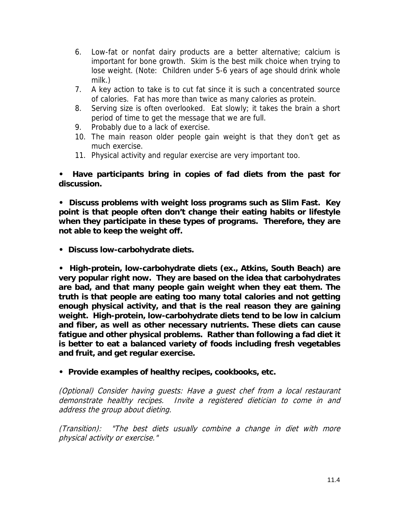- 6. Low-fat or nonfat dairy products are a better alternative; calcium is important for bone growth. Skim is the best milk choice when trying to lose weight. (Note: Children under 5-6 years of age should drink whole milk.)
- 7. A key action to take is to cut fat since it is such a concentrated source of calories. Fat has more than twice as many calories as protein.
- 8. Serving size is often overlooked. Eat slowly; it takes the brain a short period of time to get the message that we are full.
- 9. Probably due to a lack of exercise.
- 10. The main reason older people gain weight is that they don't get as much exercise.
- 11. Physical activity and regular exercise are very important too.

**• Have participants bring in copies of fad diets from the past for discussion.** 

**• Discuss problems with weight loss programs such as Slim Fast. Key point is that people often don't change their eating habits or lifestyle when they participate in these types of programs. Therefore, they are not able to keep the weight off.** 

**• Discuss low-carbohydrate diets.** 

**• High-protein, low-carbohydrate diets (ex., Atkins, South Beach) are very popular right now. They are based on the idea that carbohydrates are bad, and that many people gain weight when they eat them. The truth is that people are eating too many total calories and not getting enough physical activity, and that is the real reason they are gaining weight. High-protein, low-carbohydrate diets tend to be low in calcium and fiber, as well as other necessary nutrients. These diets can cause fatigue and other physical problems. Rather than following a fad diet it is better to eat a balanced variety of foods including fresh vegetables and fruit, and get regular exercise.** 

**• Provide examples of healthy recipes, cookbooks, etc.** 

(Optional) Consider having guests: Have a guest chef from a local restaurant demonstrate healthy recipes. Invite a registered dietician to come in and address the group about dieting.

(Transition): "The best diets usually combine a change in diet with more physical activity or exercise."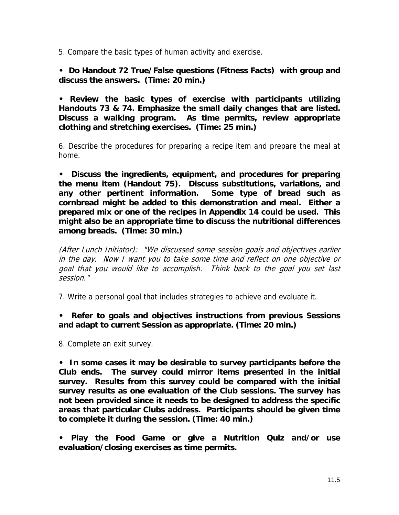5. Compare the basic types of human activity and exercise.

**• Do Handout 72 True/False questions (Fitness Facts) with group and discuss the answers. (Time: 20 min.)** 

**• Review the basic types of exercise with participants utilizing Handouts 73 & 74. Emphasize the small daily changes that are listed. Discuss a walking program. As time permits, review appropriate clothing and stretching exercises. (Time: 25 min.)** 

6. Describe the procedures for preparing a recipe item and prepare the meal at home.

**• Discuss the ingredients, equipment, and procedures for preparing the menu item (Handout 75). Discuss substitutions, variations, and any other pertinent information. Some type of bread such as cornbread might be added to this demonstration and meal. Either a prepared mix or one of the recipes in Appendix 14 could be used. This might also be an appropriate time to discuss the nutritional differences among breads. (Time: 30 min.)** 

(After Lunch Initiator): "We discussed some session goals and objectives earlier in the day. Now I want you to take some time and reflect on one objective or goal that you would like to accomplish. Think back to the goal you set last session."

7. Write a personal goal that includes strategies to achieve and evaluate it.

**• Refer to goals and objectives instructions from previous Sessions and adapt to current Session as appropriate. (Time: 20 min.)** 

8. Complete an exit survey.

**• In some cases it may be desirable to survey participants before the Club ends. The survey could mirror items presented in the initial survey. Results from this survey could be compared with the initial survey results as one evaluation of the Club sessions. The survey has not been provided since it needs to be designed to address the specific areas that particular Clubs address. Participants should be given time to complete it during the session. (Time: 40 min.)** 

**• Play the Food Game or give a Nutrition Quiz and/or use evaluation/closing exercises as time permits.**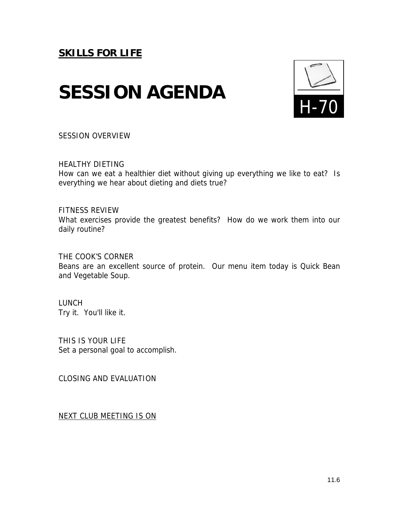# **SESSION AGENDA**



SESSION OVERVIEW

HEALTHY DIETING How can we eat a healthier diet without giving up everything we like to eat? Is everything we hear about dieting and diets true?

FITNESS REVIEW What exercises provide the greatest benefits? How do we work them into our daily routine?

THE COOK'S CORNER Beans are an excellent source of protein. Our menu item today is Quick Bean and Vegetable Soup.

LUNCH Try it. You'll like it.

THIS IS YOUR LIFE Set a personal goal to accomplish.

CLOSING AND EVALUATION

NEXT CLUB MEETING IS ON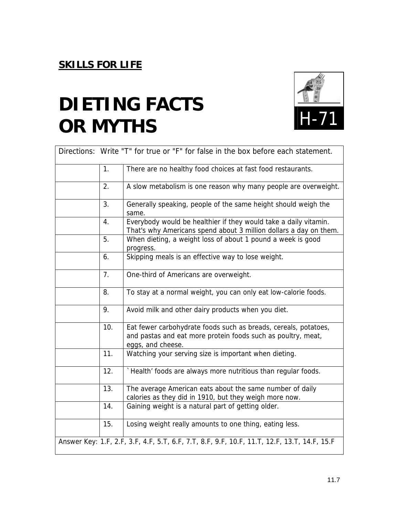# **DIETING FACTS OR MYTHS**



|                                                                                             |                | Directions: Write "T" for true or "F" for false in the box before each statement.                                                                    |  |  |
|---------------------------------------------------------------------------------------------|----------------|------------------------------------------------------------------------------------------------------------------------------------------------------|--|--|
|                                                                                             | 1.             | There are no healthy food choices at fast food restaurants.                                                                                          |  |  |
|                                                                                             | 2.             | A slow metabolism is one reason why many people are overweight.                                                                                      |  |  |
|                                                                                             | 3.             | Generally speaking, people of the same height should weigh the<br>same.                                                                              |  |  |
|                                                                                             | 4.             | Everybody would be healthier if they would take a daily vitamin.<br>That's why Americans spend about 3 million dollars a day on them.                |  |  |
|                                                                                             | 5.             | When dieting, a weight loss of about 1 pound a week is good<br>progress.                                                                             |  |  |
|                                                                                             | 6.             | Skipping meals is an effective way to lose weight.                                                                                                   |  |  |
|                                                                                             | 7 <sub>1</sub> | One-third of Americans are overweight.                                                                                                               |  |  |
|                                                                                             | 8.             | To stay at a normal weight, you can only eat low-calorie foods.                                                                                      |  |  |
|                                                                                             | 9.             | Avoid milk and other dairy products when you diet.                                                                                                   |  |  |
|                                                                                             | 10.            | Eat fewer carbohydrate foods such as breads, cereals, potatoes,<br>and pastas and eat more protein foods such as poultry, meat,<br>eggs, and cheese. |  |  |
|                                                                                             | 11.            | Watching your serving size is important when dieting.                                                                                                |  |  |
|                                                                                             | 12.            | `Health' foods are always more nutritious than regular foods.                                                                                        |  |  |
|                                                                                             | 13.            | The average American eats about the same number of daily<br>calories as they did in 1910, but they weigh more now.                                   |  |  |
|                                                                                             | 14.            | Gaining weight is a natural part of getting older.                                                                                                   |  |  |
|                                                                                             | 15.            | Losing weight really amounts to one thing, eating less.                                                                                              |  |  |
| Answer Key: 1.F, 2.F, 3.F, 4.F, 5.T, 6.F, 7.T, 8.F, 9.F, 10.F, 11.T, 12.F, 13.T, 14.F, 15.F |                |                                                                                                                                                      |  |  |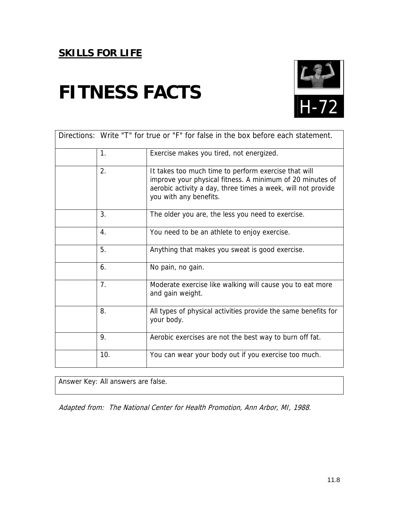# **FITNESS FACTS**



| Directions: Write "T" for true or "F" for false in the box before each statement. |                |                                                                                                                                                                                                             |  |  |
|-----------------------------------------------------------------------------------|----------------|-------------------------------------------------------------------------------------------------------------------------------------------------------------------------------------------------------------|--|--|
|                                                                                   | 1 <sub>1</sub> | Exercise makes you tired, not energized.                                                                                                                                                                    |  |  |
|                                                                                   | 2.             | It takes too much time to perform exercise that will<br>improve your physical fitness. A minimum of 20 minutes of<br>aerobic activity a day, three times a week, will not provide<br>you with any benefits. |  |  |
|                                                                                   | 3.             | The older you are, the less you need to exercise.                                                                                                                                                           |  |  |
|                                                                                   | 4.             | You need to be an athlete to enjoy exercise.                                                                                                                                                                |  |  |
|                                                                                   | 5.             | Anything that makes you sweat is good exercise.                                                                                                                                                             |  |  |
|                                                                                   | 6.             | No pain, no gain.                                                                                                                                                                                           |  |  |
|                                                                                   | 7 <sub>1</sub> | Moderate exercise like walking will cause you to eat more<br>and gain weight.                                                                                                                               |  |  |
|                                                                                   | 8.             | All types of physical activities provide the same benefits for<br>your body.                                                                                                                                |  |  |
|                                                                                   | 9.             | Aerobic exercises are not the best way to burn off fat.                                                                                                                                                     |  |  |
|                                                                                   | 10.            | You can wear your body out if you exercise too much.                                                                                                                                                        |  |  |

Answer Key: All answers are false.

Adapted from: The National Center for Health Promotion, Ann Arbor, MI, 1988.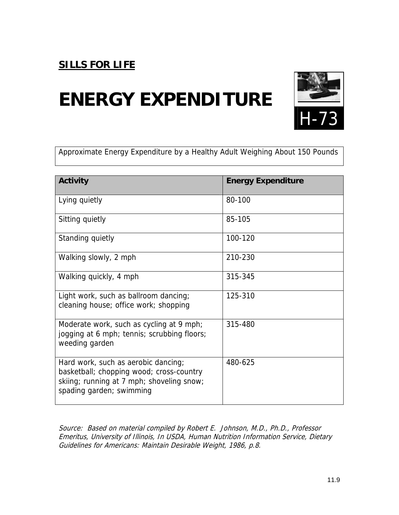# **ENERGY EXPENDITURE**



Approximate Energy Expenditure by a Healthy Adult Weighing About 150 Pounds

| <b>Activity</b>                                                                                                                                          | <b>Energy Expenditure</b> |
|----------------------------------------------------------------------------------------------------------------------------------------------------------|---------------------------|
| Lying quietly                                                                                                                                            | 80-100                    |
| Sitting quietly                                                                                                                                          | 85-105                    |
| Standing quietly                                                                                                                                         | 100-120                   |
| Walking slowly, 2 mph                                                                                                                                    | 210-230                   |
| Walking quickly, 4 mph                                                                                                                                   | 315-345                   |
| Light work, such as ballroom dancing;<br>cleaning house; office work; shopping                                                                           | 125-310                   |
| Moderate work, such as cycling at 9 mph;<br>jogging at 6 mph; tennis; scrubbing floors;<br>weeding garden                                                | 315-480                   |
| Hard work, such as aerobic dancing;<br>basketball; chopping wood; cross-country<br>skiing; running at 7 mph; shoveling snow;<br>spading garden; swimming | 480-625                   |

Source: Based on material compiled by Robert E. Johnson, M.D., Ph.D., Professor Emeritus, University of Illinois, In USDA, Human Nutrition Information Service, Dietary Guidelines for Americans: Maintain Desirable Weight, 1986, p.8.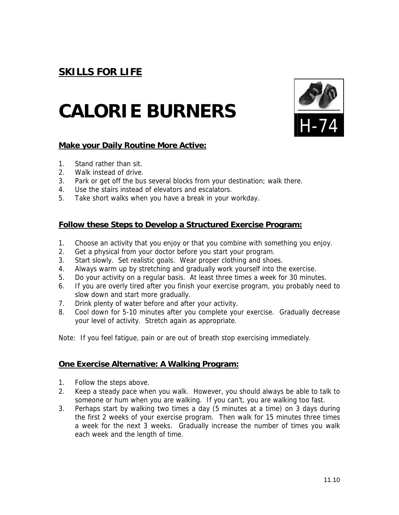# **CALORIE BURNERS**



#### **Make your Daily Routine More Active:**

- 1. Stand rather than sit.
- 2. Walk instead of drive.
- 3. Park or get off the bus several blocks from your destination; walk there.
- 4. Use the stairs instead of elevators and escalators.
- 5. Take short walks when you have a break in your workday.

### **Follow these Steps to Develop a Structured Exercise Program:**

- 1. Choose an activity that you enjoy or that you combine with something you enjoy.
- 2. Get a physical from your doctor before you start your program.
- 3. Start slowly. Set realistic goals. Wear proper clothing and shoes.
- 4. Always warm up by stretching and gradually work yourself into the exercise.
- 5. Do your activity on a regular basis. At least three times a week for 30 minutes.
- 6. If you are overly tired after you finish your exercise program, you probably need to slow down and start more gradually.
- 7. Drink plenty of water before and after your activity.
- 8. Cool down for 5-10 minutes after you complete your exercise. Gradually decrease your level of activity. Stretch again as appropriate.

Note: If you feel fatigue, pain or are out of breath stop exercising immediately.

#### **One Exercise Alternative: A Walking Program:**

- 1. Follow the steps above.
- 2. Keep a steady pace when you walk. However, you should always be able to talk to someone or hum when you are walking. If you can't, you are walking too fast.
- 3. Perhaps start by walking two times a day (5 minutes at a time) on 3 days during the first 2 weeks of your exercise program. Then walk for 15 minutes three times a week for the next 3 weeks. Gradually increase the number of times you walk each week and the length of time.